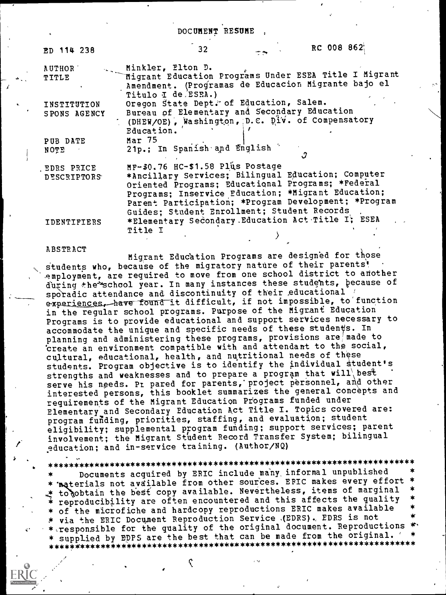#### DOCUMENT RESUME

| RC 008 862<br>32                                                                                                                   |
|------------------------------------------------------------------------------------------------------------------------------------|
| Minkler, Elton D.                                                                                                                  |
| Migrant Education Programs Under ESEA Title I Migrant<br>Amendment. (Programas de Educacion Migrante bajo el<br>Titulo I de ESEA.) |
| Oregon State Dept. of Education, Salem.                                                                                            |
| Bureau of Elementary and Secondary Education<br>(DHEW/OE), Washington, D.C. Div. of Compensatory                                   |
| Education.<br>Mar 75<br>21p.; In Spanish and English                                                                               |
| MF-\$0.76 HC-\$1.58 Plus Postage                                                                                                   |
| *Ancillary Services; Bilingual Education; Computer<br>Oriented Programs; Educational Programs; *Federal                            |
| Programs; Inservice Education; *Migrant Education;<br>Parent Participation; *Program Development; *Program                         |
| Guides; Student Enrollment; Student Records<br>*Elementary Secondary Education Act Title I; ESEA<br><b>Title I</b>                 |
|                                                                                                                                    |

#### ABSTRACT

Migrant Education Programs are designed for those students who, because of the migratory nature of their parents! employment, are required to move from one school district to another during the\*school year. In many instances these students, because of sporadic attendance and discontinuity of their educational ' experiences, have found it difficult, if not impossible, to function in the regular school programs. Purpose of the Migrant Education Programs is to provide educational and support services necessary to accommodate the unique and specific needs of these students. In planning and administering these programs, provisions are made to 'create an environment compatible with and attendant to the social, cultural, educational, health, and nutritional needs of these students. Program objective is to identify the individual Student's strengths and weaknesses and to prepare a program that will best serve his needs. Pr pared for parents, project personnel, and other interested persons, this booklet summarizes the general concepts and requirements of the Migrant Education Piograms funded under Elementary and Secondary Education Act Title I. Topics covered are: program funding, priorities, staffing, and evaluation; student eligibility; supplemental program funding; support services; parent involvement; the Migrant Student Record Transfer System; bilingual education; and in-service training. (Author/NQ)

\*\*\*\*\*\*\*\*\*\*\*\*\*\*\*\*\*\*\*\*\*\*\*\*\*\*\*\*\*\*\*\*\*\*\*\*\*\*\*\*\*\*\*\*\*\*\*\*\*\*\*\*\*\*\*\*\*\*\*\*\*\*\*\*\*\*\*\*\*\*\* Documents acquired by ERIC include many informal unpublished \* Traterials not available from other sources. EPIC makes every effort  $*$  to cobtain the best copy available. Nevertheless, items of marginal  $*$  reproducibility are often encountered and this affects the quality \* of the microfiche and hardcopy reproductions ERIC makes available \* via the ERIC Document Reproduction Service (EDRS). EDRS is not \* responsible for the quality of the original document. Reproductions \* \* supplied by EDPS are the best that can be made from the original. ' \* \*\*\*\*\*\*\*\*\*\*\*\*\*\*\*\*\*\*\*\*\*\*\*\*\*\*\*\*\*\*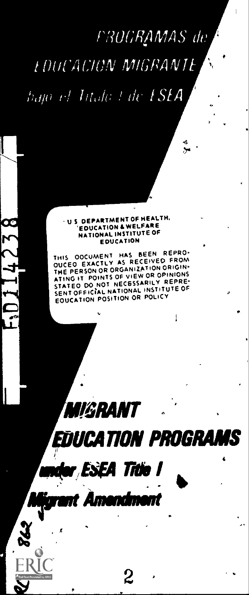# FRUGRAMAS de

.6

1

**FOUCACION MIGRANTE** 

hajo el Intalo I de E**SEA** 

#### NATIONAL INSTITUTE OF U S DEPARTMENT OF HEALTH, EDUCATION & WELFARE EDUCATION

THIS DOCUMENT HAS SEEN REPRO. OUCEO EXACTLY AS RECEIVED FROM THE PERSON OR ORGANIZATION ORIGIN.<br>ATING IT POINTS OF VIEW OR OPINIONS STATED DO NOT NECESSARILY REPRE-<br>SENT OFFICIAL NATIONAL INSTITUTE OF<br>EOUCATION POSITION OR POLICY

FDUCATION PROGRA

ea titie i

**hligrant Amendment**<br>Y

*IIGRANT* 

**C**ZZ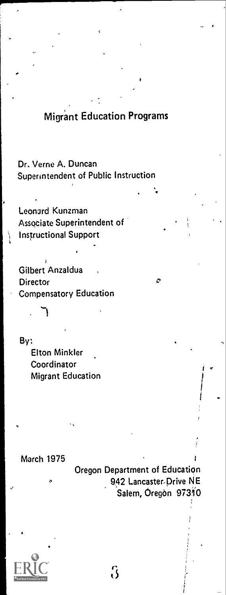# Migrant Education Programs

Dr, Verne A. Duncan Superintendent of Public Instruction

Leonard Kunzman Associate Superintendent of Instructional Support

Gilbert Anzaldua **Director** Compensatory Education

By: Elton Mink ler Coordinator Migrant Education

March 1975

Oregon Department of Education 942 Lancaster-Drive NE Salem, Oregon 97310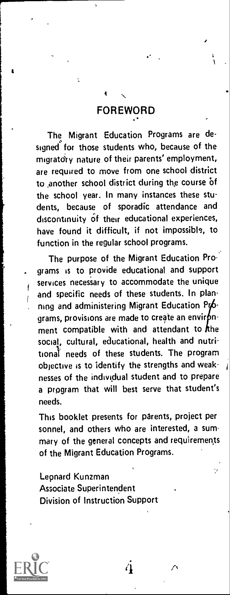# FOREWORD

 $\ddot{\phantom{a}}$ 

The Migrant Education Programs are de signed for those students who, because of the migratory nature of their parents' employment, are required to move from one school district to another school district during the course of the school year. In many instances these students, because of sporadic attendance and discontinuity of their educational experiences, have found it difficult, if not impossible, to function in the regular school programs.

The purpose of the Migrant Education Pro- . grams is to provide educational and support services necessary to accommodate the unique and specific needs of these students. In planning and administering Migrant Education Pr6grams, provisions are made to create an environment compatible with and attendant to the social, cultural, educational, health and nutritional' needs of these students. The program objective is to identify the strengths and weaknesses of the individual student and to prepare a program that will best serve that student's needs.

This booklet presents for parents, project per sonnel, and others who are interested, a summary of the general concepts and requirements of the Migrant Education Programs.

 $\overline{\phantom{a}}$ 

Lepnard Kunzman Associate Superintendent Division of Instruction Support



<u>ranski po</u>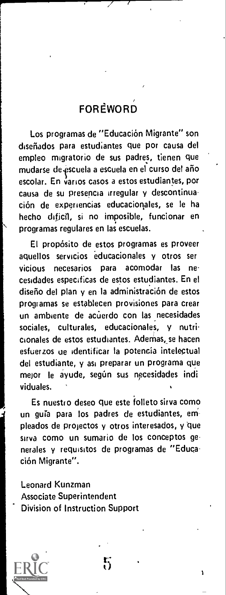# **FOREWORD**

Los programas de "Educación Migrante" son diseriados para estudiantes que por causa del empleo rmgratorio de sus padres, tienen que mudarse de escuela a escuela en el curso del año escolar. En varlos casos a estos estudiantes, por causa de su presencia irregular y descontinuación de experiencias educacionales, se le ha hecho dificil, si no imposible, funcionar en programas regulares en las escuelas.

El proposito de estos programas es proveer aquellos servicios educacionales y otros ser vicious necesarios para acomodar las ne cesidades especificas de estos estudiantes. En el diseño del plan y en la administración de estos programas se establecen provisiones para crear un ambiente de acuerdo con las necesidades sociales, culturales, educacionales, y nutricionales de estos estudiantes. Adernas,se hacen esfuerzos tie identificar la potencia intelectual del estudiante, y asi preparar un programa que mejor le ayude, según sus necesidades indi viduales.

Es nuestro deseo que este folleto sirva como un guía para los padres de estudiantes, empleados de projectos y otros interesados, y 'que sirva como un sumario de los conceptos generales y requisitos de programas de "Educación Migrante".

Leonard Kunzman Associate Superintendent Division of Instruction Support



 $r \rightarrow$  $\mathfrak{b}$  .

t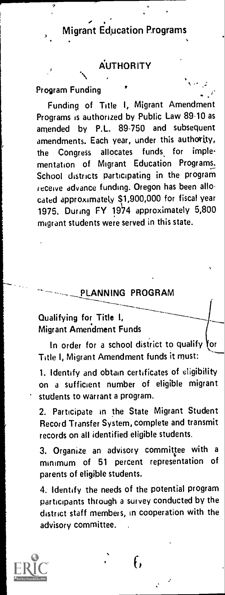AUTHORITY \

## Program Funding

Funding of Title I, Migrant Amendment Programs is authorized by Public Law 89-10 as amended by P.L. 89-750 and subsequent amendments. Each year, under this authority, the Congress allocates funds for implementation of Migrant Education Programs. School districts participating in the program receive advance funding. Oregon has been allocated approximately \$1,900,000 for fiscal year 1975. During  $FY$  1974 approximately 5,800 migrant students were served in this state.

### PLANNING PROGRAM

# Qualifying for Title I, Migrant Amendment Funds

In order for a school district to qualify for Title I, Migrant Amendment funds it must:

1. Identify and obtain certificates of eligibility on a sufficient number of eligible migrant students to warrant a program.

2. Participate in the State Migrant Student Record Transfer System, complete and transmit records on all identified eligible students.

3. Organize an advisory committee with a minimum of <sup>51</sup> percent representation of parents of eligible students.

4. Identify the needs of the potential program participants through a survey conducted by the district staff members, in cooperation with the advisory committee.

f,

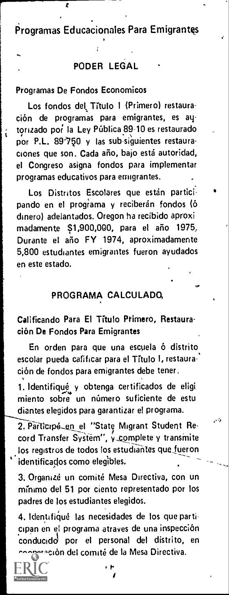Programs Educacionales Para Emigrantes

# PODER LEGAL

### Programas De Fondos Economicos

Ĺ

Los fondos del Titulo I (Primero) restauración de programas para emigrantes, es autorizado por la Ley Pública 89-10 es restaurado por P.L. 89-750 y las sub-siguientes restauraciones que son. Cada año, bajo está autoridad, el Congreso asigna fondos para implementer programas educativos para emigrantes.

Los Distritos Escolares que están participando en el programa y reciberán fondos (ó dinero) adelantados. Oregon ha recibido aproxi madamente \$1,900,000, para el aho 1975; Durante el aho FY 1974, aproximadamente 5,800 estudiantes emigrantes fueron ayudados en este estado.

# PROGRAMA CALCULADO,

Ls.

# Calificando Para El Tftulo Primero, Restauracion De Fondos Para Emigrantes

En orden para que una escuela 6 distrito escolar pueda cafificar para el Título I, restauración de fondos para emigrantes debe tener.

1. Identifiqué y obtenga certificados de eligi miento sobre un numero suficiente de estu diantes elegidos para garantizar el programa.

2. Participé\_en el "State Migrant Student Record Transfer System", y complete y transmite los registros de todos los estudiantes que fueron identificados como elegibles.

3. Organizé un comité Mesa Directiva, con un mínimo del 51 por ciento representado por los padres de los estudiantes elegidos.

4. Identifiqué las necesidades de los que participan en el programa atraves de una inspeccion conducido por el personal del distrito, en ación del comité de la Mesa Directiva.

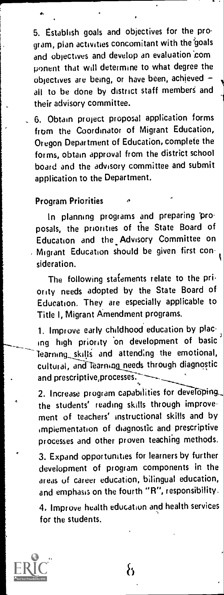5. Establish goals and objectives for the program, plan activities concomitant with the 'goals and objectives and develop an evaluation com ponent that will determine to what degree the objectives are being, or have been, achieved all to be done by district staff members and their advisory committee.

6. Obtain project proposal application forms from the Coordinator of Migrant Education, Oregon Department of Education, complete the forms, obtain approval from the district school board and the advisory committee and submit application to the Department.

Program Priorities

In planning programs and preparing 'proposals, the priorities of the State Board of Education and the Advisory Committee on Migrant Education should be given first consideration.

The following statements relate to the priority needs adopted by the State Board of Education. They are especially applicable to Title I, Migrant Amendment programs.

1. Improve early childhood education by placing high priority on development of basic learning\_ skills and attending the emotional, cultural, and Tearning needs through diagnostic and prescriptive, processes.

2. Increase program capabilities for developing, the students' reading skills through improvement of teachers' instructional skills and by implementation of diagnostic and prescriptive processes and other proven teaching methods.

3. Expand opportunities for learners by further development of program components in the areas of career education, bilingual education, and emphasis on the fourth "R", responsibility.

4. Improve health education and health services for the students.

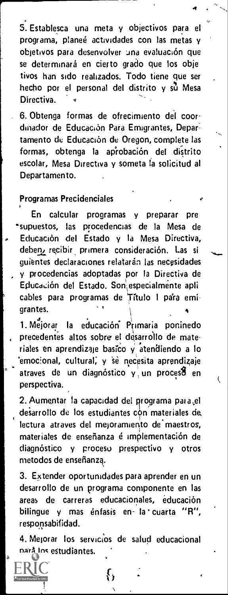5. Establesca una meta y objectivos para el programa, planee actividades con las metas y objetivos para desenvolver ana evaluacion que se determinará en cierto grado que los obje tivos han sido realizados. Todo tiene que ser hecho por el personal del distrito y su Mesa Directiva.

 $\bullet$   $\bullet$   $\sim$ 

6. Obtenga formas de ofrecimiento del coordinador de Educación Para Emigrantes, Departamento de Educación de Oregon, complete las formas, obtenga la ap'robacion del distrito escolar, Mesa Directiva y someta la solicitud al Departamento.

#### Programas Precidenciales

En calcular programas y preparar pre "supuestos, las procedencias de la Mesa de Educación del Estado y la Mesa Directiva, deben, recibir primera consideración. Las si guientes declaraciones relatarán las necesidades y procedencias adoptadas por Ia Directiva de Educación del Estado. Son especialmente apli cables para programas de Título I para emigrantes.

1. Mejorar la educación Primaria poninedo precedentes altos sobre el desarro'llo de materiales en aprendizaje basico y atendiendo a lo 'emocional, cultural, y se necesita aprendizaje atraves de un diagnóstico y un process en perspectiva.

2. Aumentar la capacidad del programa para el desarrollo de los estudiantes con materiales de, lectura atraves del mejoramiento de maestros, materiales de enseñanza é implementación de diagnóstico y procesu prespectivo y otros metodos de ensefianza.

3. Extender oportunidades para aprender en un desarrollo de un programa componente en las areas de carreras educacionales, educacion bilingue y mas énfasis en la cuarta "R", responsabifidad.

4. Mejorar los servicios de salud educacional parà los estudiantes.

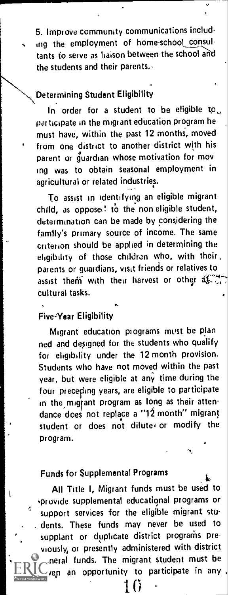5. Improve community communications including the employment of home-school consul tants to serve as liaison between the school and the students and their parents.,

# Determining Student Eligibility

In order for a student to be eligible to<sub> $\omega$ </sub> participate in the migrant education program he must have, within the past 12 months, moved from one district to another district with his parent or guardian whose motivation for mov ing was to obtain seasonal employment in agricultural or related industries.

To assist in identifying an eligible migrant child, as opposed to the non-eligible student, determination can be made by considering the famtly's primary source of income. The same criterion should be applied in determining the eligibility of those children who, with their. parents or guardians, visit friends or relatives to assist them with their harvest or other  $45.7$ cultural tasks.

### Five-Year Eligibility

Migrant education programs mtist be plan ned and designed for the students who qualify for eligibility under the 12 month provision. Students who have not moved within the past year, but were eligible at any time during the four preceding years, are eligible to participate in the migrant program as long as their attendance does not replace a "12 month" migrant student or does not dilute, or modify the program.

#### Funds for Supplemental Programs

Ą.

All Title I, Migrant funds must be used to sprovide supplemental educational programs or support services for the eligible migrant students. These funds may never be used to supplant or duplicate district programs previously, or presently administered with district general funds. The migrant student must be ven an opportunity to participate in any 11)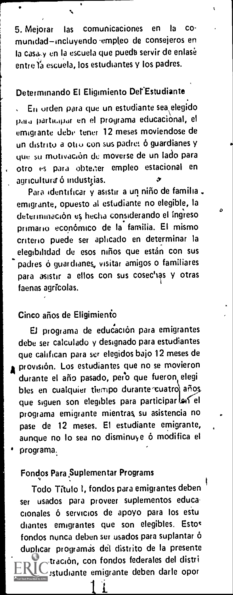5. Mejorar las comunicaciones en la co munidad-incluyendo empleo de consejeros en la casa y en la escuela que pueda servir de enlasé entre la escuela, los estudiantes y los padres.

# Determinando El Eligimiento Del'Estudiante

En orden para que un estudiante sea elegido para particapar en el programa educaciònal, el emigrante debe tener 12 meses moviendose de un distrito a otio con sus padres ó guardianes y que su motivación de moverse de un lado para otro es para obtear empleo estacional en agricultura ó industrias.

Para identificar y asistir a un niño de familia . emigrante, opuesto al estudiante no elegible, Ia determination es hecha considerando of ing'reso primario económico de la familia. El mismo enteric) puede ser aplicaclo en determinar Ia elegibilidad de esos niños que están con sus padres ó guardianes, visitar amigos o familiares para asistir a ellos con sus cosechas y otras faenas agricolas.

### Cinco afios de Eligimienio

El programa de educación para emigrantes debe ser calculado y designado para estudiantes que califican para ser elegidos bajo 12 meses de provisión. Los estudiantes que no se movieron durante el año pasado, pero que fueron elegi bles en cualquier tiempo durante cuatro años gue siguen son elegibles para participar las el programa emigrante mientras su asistencia no pase de 12 meses. El estudiante emigrante, aunque no lo sea no disminuye 6 modifica el programa.

# Fondos Para,Suplementar Programs

Todo Titulo I, fondos para emigrantes deben ser usados para proveer suplementos educa cionales ó servicios de apoyo para los estu diantes emigrantes que son elegibles. Estos fondos nunca deben ser usados para suplantar duplicar programas del distrito de la presente  $\downarrow$ tración, con fondos federales del distri estudiante emigrante deben darle opor

1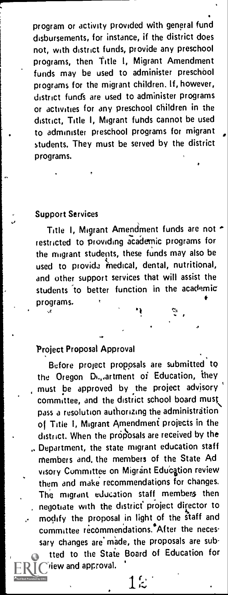program or activity provided with general fund disbursements, for instance, if the district does not, with district funds, provide any preschool programs, then Title I, Migrant Amendment funds may be used to administer preschool programs for the migrant children. If, however, district fund's are used to administer programs or activities for any preschool children in the district, Title I, Migrant fuhds cannot be used to administer preschool programs for migrant students. They must be served by the district Programs.

#### Support Services

Title I, Migrant Amendment funds are not restricted to providing academic programs for the migrant students, these funds may also be used to provida medical, dental, nutritional, and other support services that will assist the students to better function in the academic programs.

# Project Proposal Approval

riew and approval.

Before project proposals are submitted to the Oregon Di.,,artment of Education, they must be approved by the project advisory committee, and the district school board must\ pass a resolution authorizing the administration of Title 1, Migrant Amendment projects in the district. When the proposals are received by the Department, the state migrant education staff members and, the members of the State Ad visory Committee on Migrant Education review them and make recommendations for changes. The migrant education staff members then negotiate with the district' project director to modify the proposal in light of the staff and committee recommendations.<sup>\*</sup>After the necessary changes are made, the proposals are subtted to the State Board of Education for

12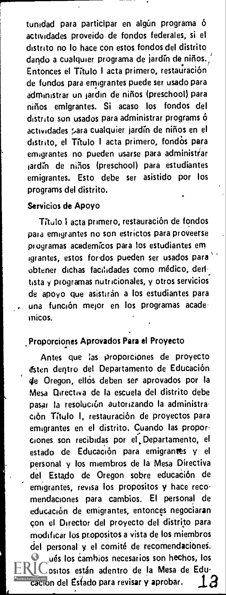tunidad para participar en algún programa ó actividades proveido de fondos federales, si el distrito no lo hace con estos fondos del distrito dando a cualquier programa de jardin de niños., Entonces el Titulo I acta primero, restauracion de fundos para emigrantes puede ser usado para administrar un jardin de nifios (preschool) para ninos emigrantes. Si acaso los fondos del distrito son usados para administrar programs 6 actividades para cualquier jardin de niños en el distrito, el Título I acta primero, fondos para emigrantes no pueden usarse pare administrar iardin de niños (preschool) para estudiantes emigrantes. Esto debe ser asistido por los programs del distrito.

#### Servicios de Apoyo

Título I acta primero, restauración de fondos paid emigrantes no son estrictos para proveerse programas academkos para los estudiantes em igrantes, estos foridos pueden ser usados para obtener dichas facilidades como médico, deritista y programas nutricionales, y otros servicios de apoyo que asistiran a los estudiantes para una función mejor en los programas academicos.

#### Proporciones Aprovados Para el Proyecto

Antes que las proporciones de proyecto gsten deqtro del Departamento de Educacion de Oregon, ell6s deben ser aprovados por la Mesa Directive de la escuela del distrito debe pasar la resolución autorizando la administration Titulo I, restauracion de proyectos para emigrantes en el distrito. Cuando las propor-<br>ciones son recibidas por el. Departamento, el estado de Educación para emigrantes y el personal y los miembros de la Mesa Directive del Estado de Oregon sobre educación de emigrantes, revisa los propositos y hace recomendaciones pare cambios. El personal de education de emigrantes, entonces negociaran con el Director del proyecto del distrito para modificar los propositos a vista de los miembros del personal y el comité de recomendaciones. ués los cambios necesarios son hechos, los psitos están adentro de la Mesa de Edu- $\frac{1}{20}$ con del Estado para revisar y aprobar.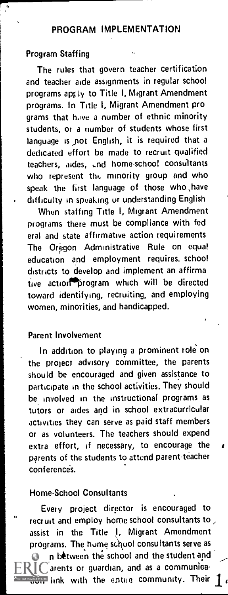# PROGRAM IMPLEMENTATION

# Program Staffing

The rules that govern teacher certification and teacher aide assignments in regular school programs apr ly to Title I, Migrant Amendment programs. In Title I, Migrant Amendment pro grams that have a number of ethnic minority students, or a number of students whose first language is not English, it is required that a dedicated effort be made to recruit qualified teachers, aides, and home-school consultants who represent the minority group and who speak the first language of those who have difficulty in speaking ur understanding English

When staffing Title I, Migrant Amendment programs there must be compliance with fed eral and state affirmative action requirements The Oregon Administrative Rule on equal education and employment requires. school districts to develop and implement an affirma tive action program which will be directed toward identifying, recruiting, and employing women, minorities, and handicapped.

#### Parent Involvement

In addition to playing a prominent role on the project advisory committee, the parents should be encouraged and given assistance to participate in the school activities. They should be involved in the instructional programs as tutors or aides and in school extracurricular activities they can serve as paid staff members or as volunteers. The teachers should expend extra effort, if necessary, to encourage the  $r$ parents of the students to attend parent teacher conferences.

### Home-School Consultants

Every project director is encouraged to recruit and employ home school consultants to assist in the Title I, Migrant Amendment programs. The home school consultants serve as  $\bullet$  in between the school and the student and  $RIC$  arents or guardian, and as a communica-**THAT PONIGARAS COMMUNITY.** Their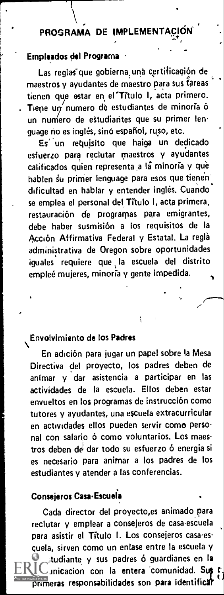### f PROGRAMA DE IMPLEMENTACION A

 $\bigg\{$ 

# Empleados del Programa

I .

f

Las reglas que gobierna una certificación de maestros y ayudantes de maestro para sus tareas tienen que estar en el Titulo I, acta primero. Tiene un numero de estudiantes de minoria ó un numero de estudiantes que su primer lenguage no es inglés, sino español, ruso, etc.

Es un requisito que haiga un dedicado esfuerzo para reclutar maestros y ayudantes calificados quien representa a la minoria y que hablen su primer lenguage para esos que tienen dificultad en hablar y entender inglés. Cuando se emplea el personal del Título I, acta primera, restauración de programas para emigrantes, debe haber susmision a los requisitos de Ia Acción Affirmativa Federal y Estatal. La reglà administrative de Oregon sobre oportunidades iguales requiere que la escuela del distrito empleé mujeres, minoria y gente impedida.

### Envolvimiento de los Padres

 $\sum_{i=1}^n$ En adıción para jugar un papel sobre la Mesa  $\qquad$ Directiva del proyecto, los padres deben de animar y dar asistencia a participar en las actividades de Ia escuela. Ellos deben estar envueltos en los programas de instrucción como tutores y ayudantes, una escuela extracurricular en actividades ellos pueden servir como personal con salario ó como voluntarios. Los maestros deben de dar todo su esfuerzo ó energia si es necesario para animar a los padres de los estudiantes y atender a las conferencias.

# Consejeros Casa-Escuela

Cada director del proyecto,es animado para reclutar y emplear a consejeros de casa-escuela para asistir el Título I. Los consejeros casa-es-Quota, sirven como un enlase entre Ia escuela y el studiante y sus padres ó guardianes en la inicacion con la entera comunidad. Sut **primeras responsabilidades son para identificat**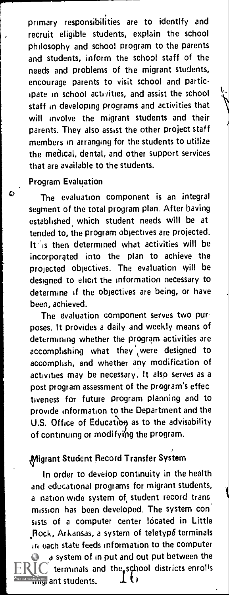primary responsibilities are to identify and recruit eligible students, explain the school philosophy and school program to the parents and students, inform the school staff of the needs and problems of the migrant students, encourage parents to visit school and participate in school activities, and assist the school staff in developing programs and activities that will involve the migrant students and their parents. They also assist the other project staff members in arranging for the students to utilize the medical, dental, and other support services that are available to the students.

#### Program Evaluation

The evaluation component is an integral segment of the total program plan. After having established which student needs will be at tended to, the program objectives are projected. It  $i$ s then determined what activities will be incorporated into the plan to achieve the projected objectives. The evaluation will be designed to elicit the information necessary to determine if the objectives are being, or have been, achieved.

The evaluation component serves two purposes. It provides a daily and weekly means of determining whether the program activities are  $\arccomplishing$  what they were designed to accomplish, and whether any modification of activities may be necessary. It also serves as a post program assessment of the program's effec tiveness for future program planning and to provide information to the Department and the U.S. Office of Education as to the advisability of continuing or modifying the program.

# Migrant Student Record Transfer System

In order to develop continuity in the health and educational programs for migrant students, a nation wide system of student record trans mission has been developed. The system con sists of a computer center located in Little Rock, Arkansas, a system of teletype terminals in each state feeds information to the computer  $\bullet$  a system of in put and out put between the terminals and the school districts enrolls  $\frac{1}{\ln n}$  ant students.  $\frac{1}{\ln n}$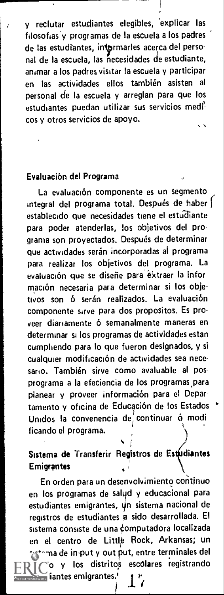y reclutar estudiantes elegibles, 'explicar las filosofias'y programas de Ia escuela a los padres de las estudiantes, intormarles acerca del personal de la escuela, las necesidades de estudiante, animar a los padres visitar la escuela y participar en las actividades ellos tambien asisten al personal de Ia escuela y arreglan para que los estudiantes puedan utilizar sus servicios medicos y otros servicios de apoyo.

#### Evaluacion del Programa

La evaluación componente es un segmento integral del programa total. Después de haber [ establecido que necesidades tiene el estudiante para poder atenderlas, los objetivos del programa son proyectados. Después de determinar que actividades serán incorporadas al programa para realizar los objetivos del programa. La evaluación que se diseñe para extraer la infor mación necesaria para determinar si los objetivos son ó serán realizados. La evaluación componente sirve para dos propositos. Es proveer diariamente 6 semanalmente maneras en determinar si los programas de actividades estan cumpliendo para lo que fueron designados, y si cualquier modificacion de actividades sea necesario. También sirve como avaluable al posprograma a Ia efeciencia de los programas,para planear y proveer información para el Departamento y oficina de Educación de los Estados Unidos la convenencia de continuar ó modi ficando el programa.

### Sistema de Transferir Registros de Estudiantes **Emigrantes**

En orden para un desenvolvimiento continuo en los programas de salud y educacional para estudiantes emigrantes, un sistema nacional de registros de estudiantes a sido desarrollada. El sistema consiste de una computadora localizada en el centro de Little Rock, Arkansas; un  $\epsilon$ inma de in-put y out put, entre terminales del y los distritos escolares registrando iantes emigrantes.'

 $\frac{1}{2}$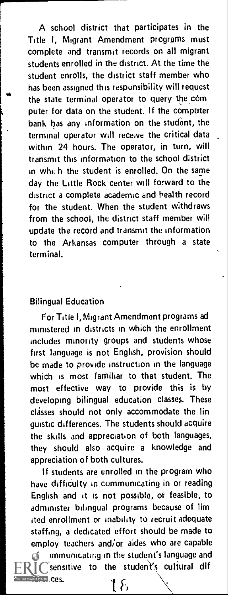<sup>1</sup> A school district that participates in the Title I, Migrant Amendment programs must complete and transmit records on all migrant students enrolled in the district. At the time the student enrolls, the district staff member who has been assigned this responsibility will request the state terminal operator to query the com puter for data on the student. If the computer bank has any information on the student, the terminal operator will receive the critical data within 24 hours. The operator, in turn, will transmit this information to the school district in which the student is enrolled. On the same day the Little Rock center will forward to the district a complete academic and health record for the student. When the student withdraws from the school, the district staff member will update the record and transmit the information to the Arkansas computer through a state terminal.

#### Bilingual Education

i

For Title I, Migrant Amendment programs ad ministered in districts in which the enrollment includes minority groups and students whose first language is not English, provision should be made to provide instruction in the language which is most familiar to that student. The most effective way to provide this is by developing bilingual education classes. These classes should not only accommodate the lin guistic differences. The students should acquire the skills and appreciation of both languages, they should also acquire a knowledge and appreciation of both cultures.

If students are enrolled in the program who have diffiCulty in communicating in or reading English and it is not possible, of feasible, to administer bilingual programs because of lim ited enrollment or inability to recruit adequate staffing, a dedicated effort should be made to employ teachers and/or aides who are capable

of communicating in the student's language and  $\lceil$  sensitive to the student's cultural dif **fed by ERIC COS.** the student's language<br>  $\qquad \qquad$  a student's cultural<br>  $\qquad \qquad$   $\qquad \qquad$   $\qquad$   $\qquad \qquad$   $\qquad$   $\qquad$   $\qquad$   $\qquad$   $\qquad$   $\qquad$   $\qquad$   $\qquad$   $\qquad$   $\qquad$   $\qquad$   $\qquad$   $\qquad$   $\qquad$   $\qquad$   $\qquad$   $\qquad$   $\qquad$   $\qquad$   $\qquad$   $\qquad$   $\qquad$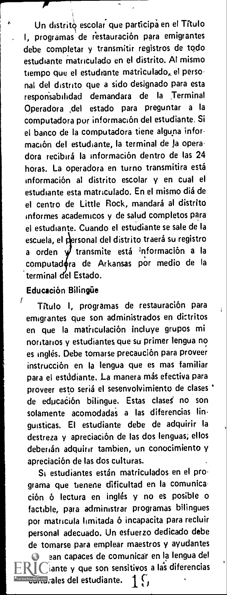Un distrito escolar que participa en el Título I, programas' de restauracion para emigrantes debe completar y transmitir registros de todo estudiante matriculado en el distrito. Al mismo tiempo que el estudiante matriculado, el personal del distrito que a sido designado para esta resporisabilidad demandara de Ia Terminal Operadora ,del estado para preguntar <sup>a</sup> Ia computadora por informacion del estudiante. Si el banco de Ia computadora tiene alguna information del estudiante, Ia terminal de la operadora recibirá la información dentro de las 24 horas. La operadora en turno transmitira está informacion al distrito escolar y en cual el estudiante esta matriculado. En el mismo diá de el centro de Little Rock, mandará al distrito informes academicos y de salud completos para el estudiante. Cuando el estudiante se sale de Ia escuela, el personal del distrito traerá su registro orden y transmite está información a la computadora de Arkansas por medio de la terminal del Estado.

#### Educacion Bilingue

**from the contract of the contract of the contract of the contract of the contract of the contract of the contract of the contract of the contract of the contract of the contract of the contract of the contract of the cont** 

 $^{\prime}$  . Titulo I, programas de restauración para  $_{\rm{H}}$  . emigrantes que son administrados en distritos en que Ia matiiculacion incluye grupos mi noritarios y estudiantes que su primer lengua no es inglés. Debe tomarse precaución para proveer instrucci6n en Ia lengua que es mas familiar para el estúdiante. La manera más efectiva para proveer esto seriá el sesenvolvimiento de clases ' de educación bilingue. Estas clases no son solamente acomodadas a las diferencias linguisticas. El estudiante debe de adquirir Ia destreza y apreciación de las dos lenguas; ellos deberian adquirir tambien, un conocimiento y apreciacion de las dos cuituras.

Si estudiantes están matriculados en el programa que tienene dificultad en Ia comunicación ó lectura en inglés y no es posible o factible, para administrar programas bilingues por matricula limitada 6 incapacita para recluir personal adecuado. Un esfuerzo dedicado debe de tomarse para emplear maestros y ayudantes

ean capaces de comunicar en la lengua del **IC**iante y que son sensitivos a las diferencias continue provided by EBC, ales del estudiante. 1 f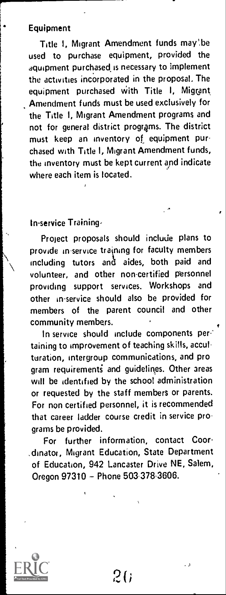# **Equipment**

Title 1, Migrant Amendment funds may be used to purchase equipment, provided the aquipment purchased is necessary to implement the activities incorporated in the proposal. The equipment purchased with Title I, Migrant Amendment funds must be used exclusively for the Title I, Migrant Amendment programs and not for general district programs. The district must keep an inventory of equipment purchased with Title I, Migrant Amendment funds, the inventory must be kept current and indicate where each item is located.

#### In-service Training,

Project proposals should include plans to provide in-service training for faculty members including tutors anti aides, both paid and volunteer, and other non-certified personnel providing support services. Workshops and other in-service should also be provided for members of the parent council and other community members.

In service should include components pertaining to improvement of teaching skills, acculturation, intergroup communications, and pro gram requirements and guidelines. Other areas will be identified by the school administration or requested by the staff members or parents. For non certified personnel, it is recommended that career ladder course credit in service programs be provided.

For further information, contact Coor .dinator, Migrant Education, State Department of Education, 942 Lancaster Drive NE, Salem, Oregon 97310 - Phone 503-378-3606.

26